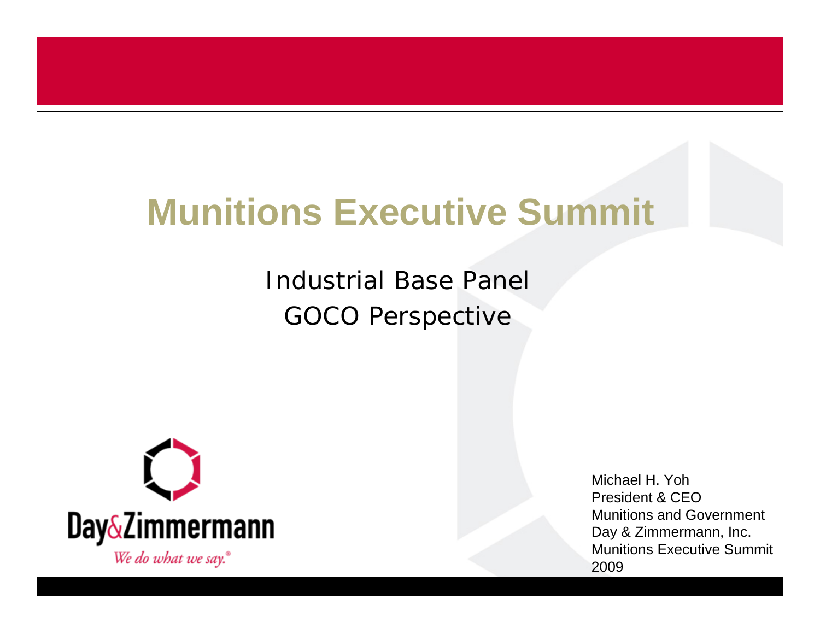## **Munitions Executive Summit**

Industrial Base PanelGOCO Perspective



Michael H. YohPresident & CEOMunitions and GovernmentDay & Zimmermann, Inc. Munitions Executive Summit2009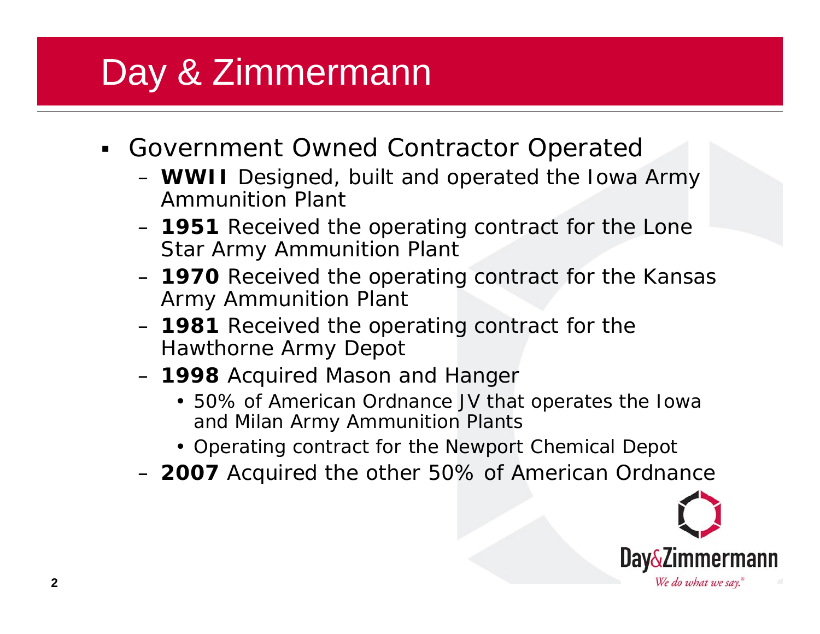## Day & Zimmermann

- Government Owned Contractor Operated
	- **WWII** Designed, built and operated the Iowa Army Ammunition Plant
	- **1951** Received the operating contract for the Lone Star Army Ammunition Plant
	- **1970** Received the operating contract for the Kansas Army Ammunition Plant
	- **1981** Received the operating contract for the Hawthorne Army Depot
	- **1998** Acquired Mason and Hanger
		- 50% of American Ordnance JV that operates the Iowa and Milan Army Ammunition Plants
		- Operating contract for the Newport Chemical Depot
	- **2007** Acquired the other 50% of American Ordnance

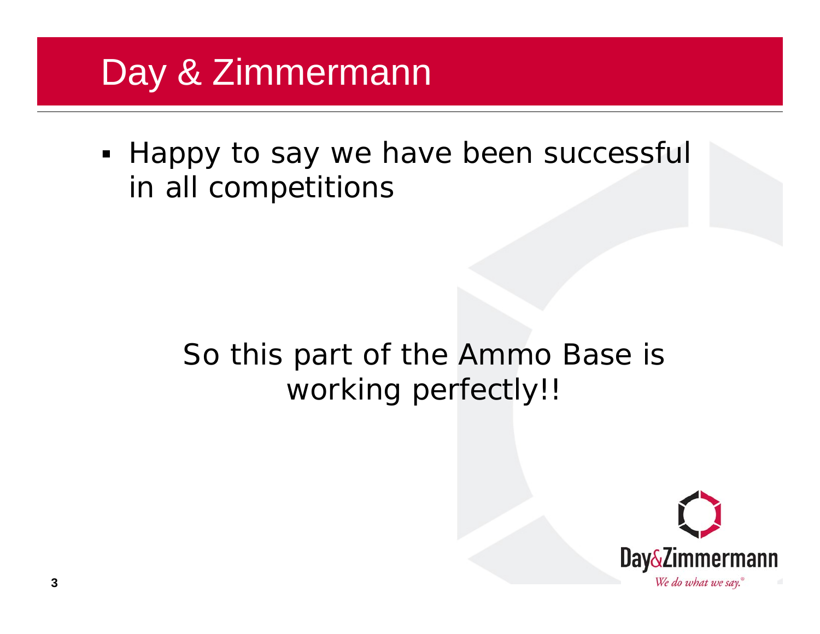#### Day & Zimmermann

**- Happy to say we have been successful** in all competitions

#### So this part of the Ammo Base is working perfectly!!

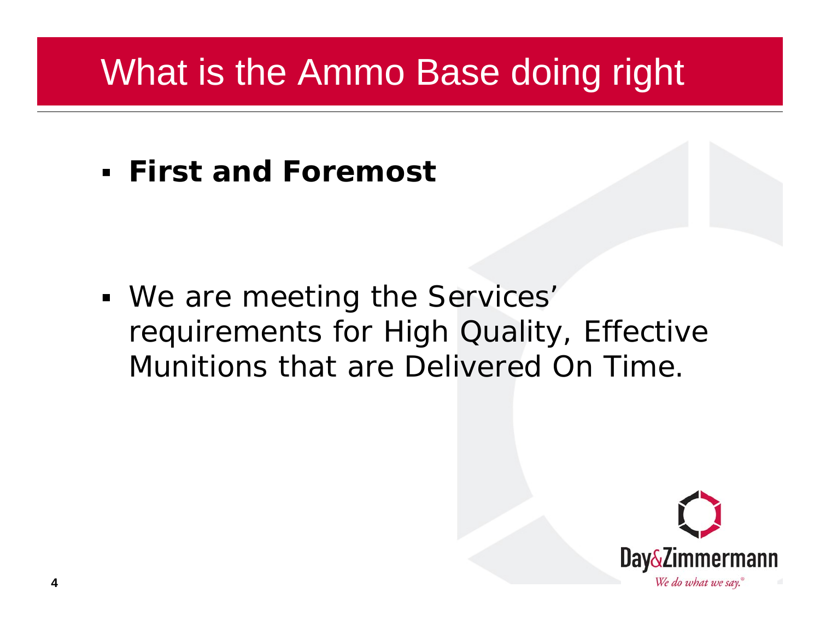### What is the Ammo Base doing right

**First and Foremost**

 We are meeting the Services' requirements for High Quality, Effective Munitions that are Delivered On Time.

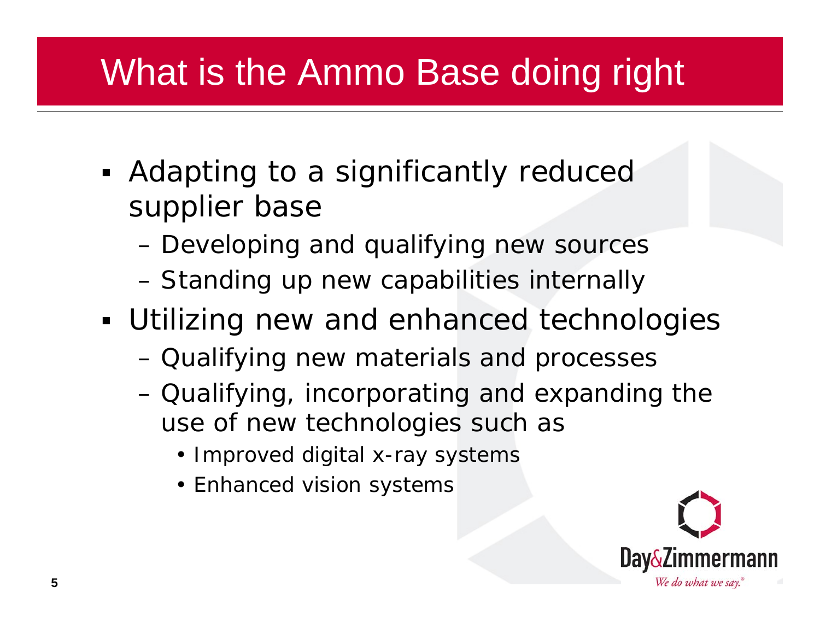# What is the Ammo Base doing right

- **Adapting to a significantly reduced** supplier base
	- Developing and qualifying new sources
	- Standing up new capabilities internally
- Utilizing new and enhanced technologies
	- Qualifying new materials and processes
	- Qualifying, incorporating and expanding the use of new technologies such as
		- Improved digital x-ray systems
		- Enhanced vision systems

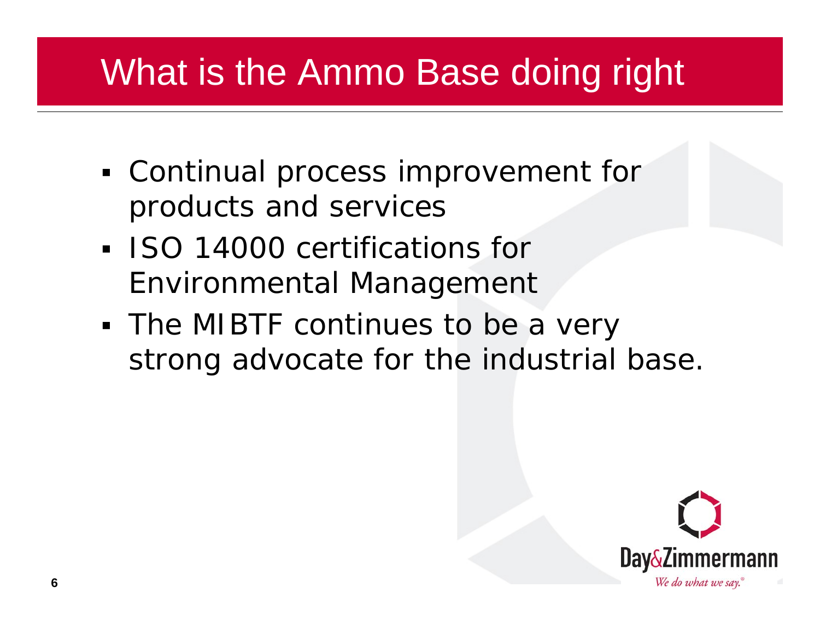## What is the Ammo Base doing right

- Continual process improvement for products and services
- **ISO 14000 certifications for** Environmental Management
- The MIBTF continues to be a very strong advocate for the industrial base.

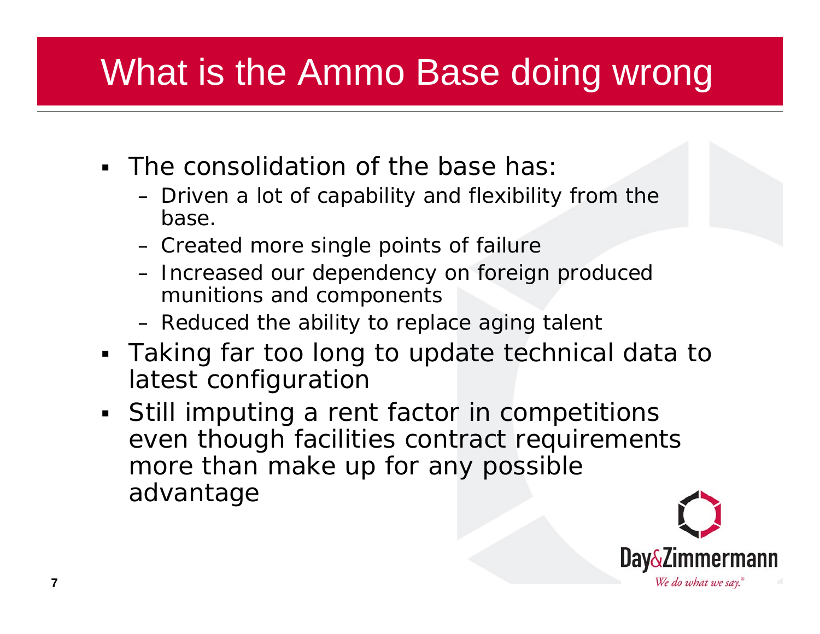# What is the Ammo Base doing wrong

- The consolidation of the base has:
	- Driven a lot of capability and flexibility from the base.
	- Created more single points of failure
	- Increased our dependency on foreign produced munitions and components
	- Reduced the ability to replace aging talent
- Taking far too long to update technical data to latest configuration
- Still imputing a rent factor in competitions even though facilities contract requirements more than make up for any possible advantage

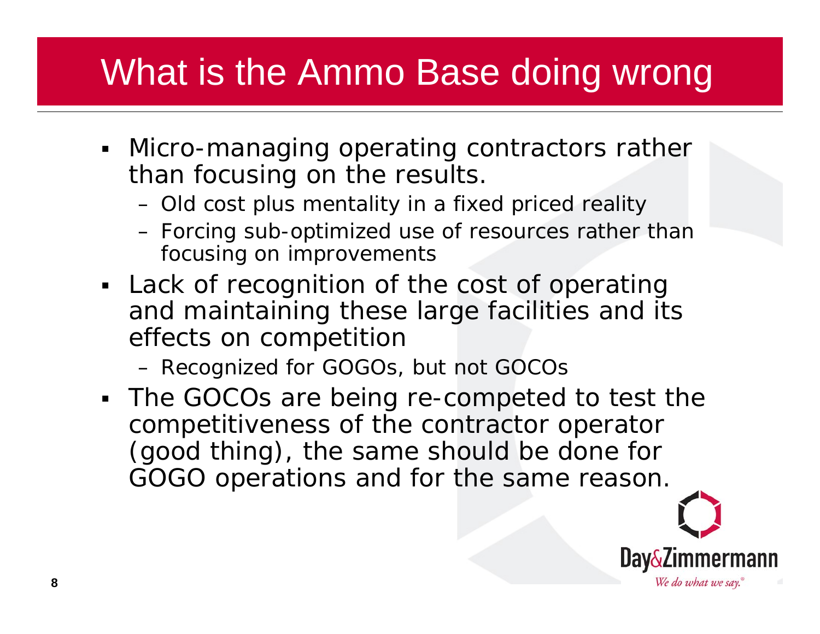## What is the Ammo Base doing wrong

- Micro-managing operating contractors rather than focusing on the results.
	- Old cost plus mentality in a fixed priced reality
	- Forcing sub-optimized use of resources rather than focusing on improvements
- Lack of recognition of the cost of operating and maintaining these large facilities and its effects on competition
	- Recognized for GOGOs, but not GOCOs
- The GOCOs are being re-competed to test the competitiveness of the contractor operator (good thing), the same should be done for GOGO operations and for the same reason.

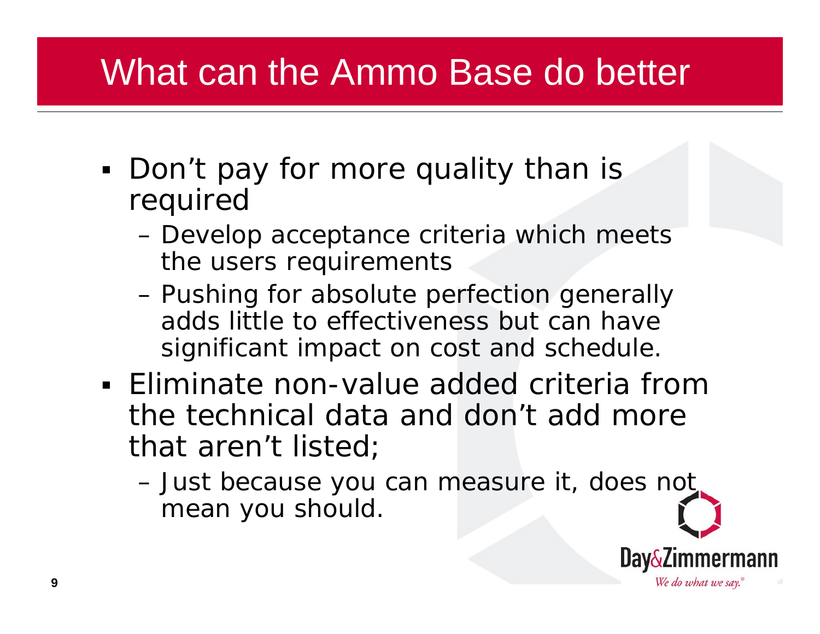#### What can the Ammo Base do better

- Don't pay for more quality than is required
	- Develop acceptance criteria which meets the users requirements
	- Pushing for absolute perfection generally adds little to effectiveness but can have significant impact on cost and schedule.
- Eliminate non-value added criteria from the technical data and don't add more that aren't listed;
	- Just because you can measure it, does not mean you should.

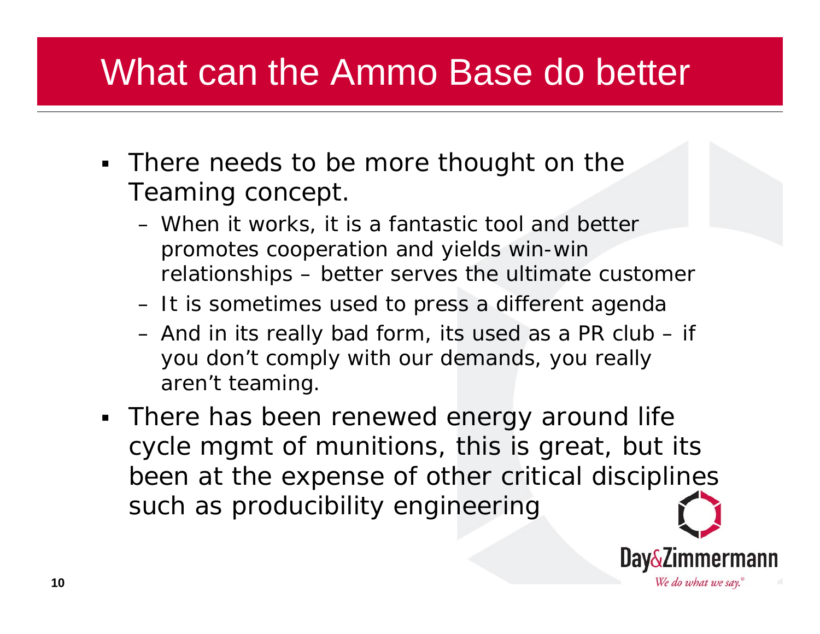#### What can the Ammo Base do better

- **There needs to be more thought on the** Teaming concept.
	- When it works, it is a fantastic tool and better promotes cooperation and yields win-win relationships – better serves the ultimate customer
	- It is sometimes used to press a different agenda
	- And in its really bad form, its used as a PR club if you don't comply with our demands, you really aren't teaming.
- There has been renewed energy around life cycle mgmt of munitions, this is great, but its been at the expense of other critical disciplines such as producibility engineering

We do what we say.

**10**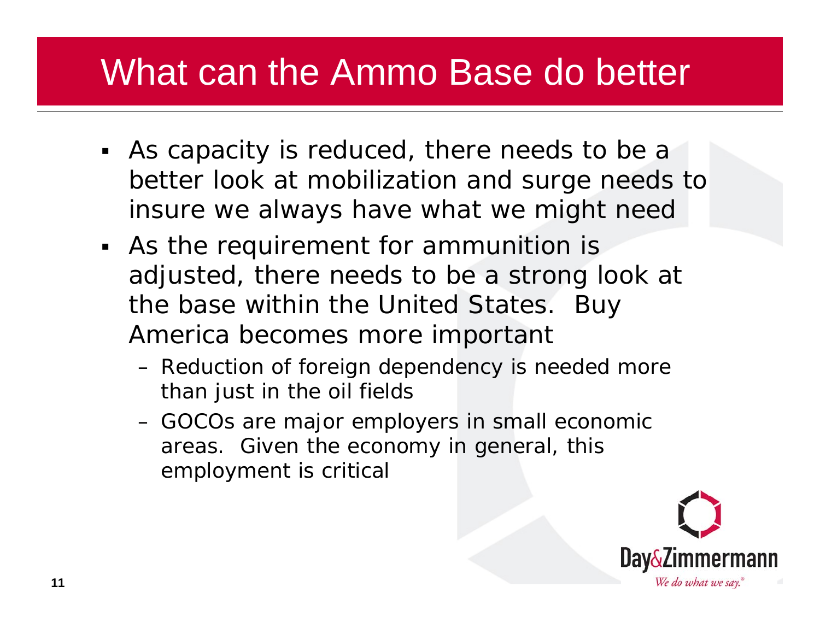### What can the Ammo Base do better

- As capacity is reduced, there needs to be a better look at mobilization and surge needs to insure we always have what we might need
- As the requirement for ammunition is adjusted, there needs to be a strong look at the base within the United States. Buy America becomes more important
	- Reduction of foreign dependency is needed more than just in the oil fields
	- GOCOs are major employers in small economic areas. Given the economy in general, this employment is critical

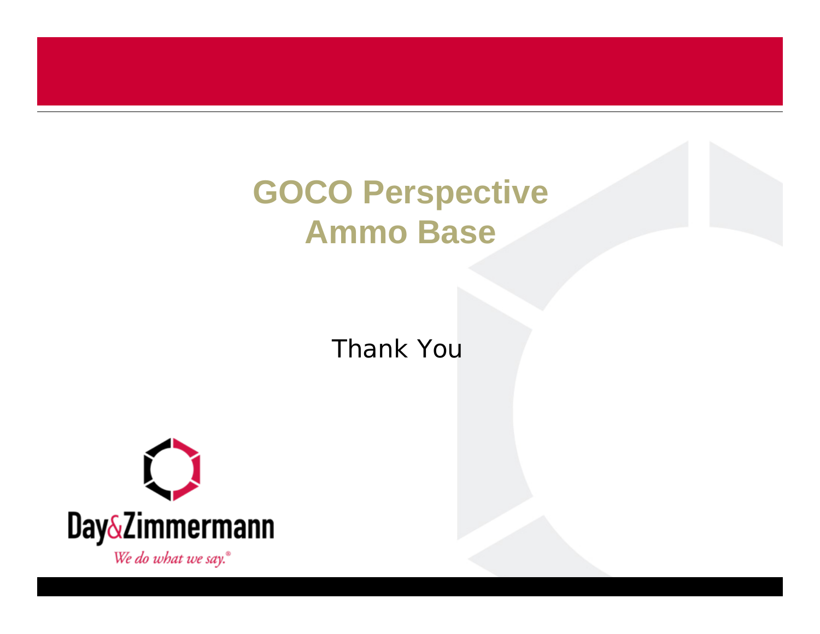#### **GOCO Perspective Ammo Base**

Thank You